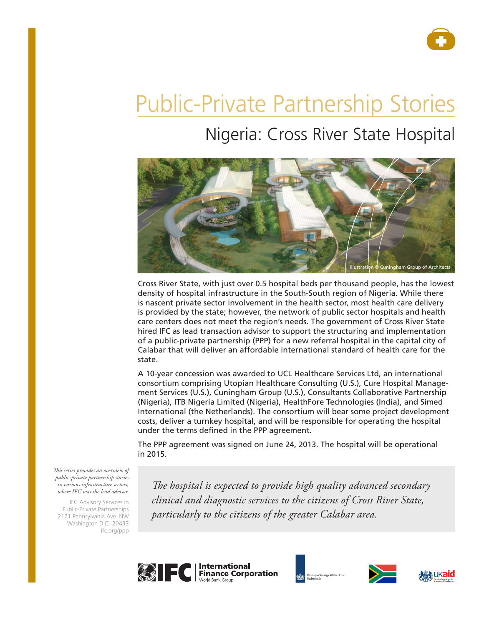

# Public-Private Partnership Stories

# Nigeria: Cross River State Hospital



Cross River State, with just over 0.5 hospital beds per thousand people, has the lowest density of hospital infrastructure in the South-South region of Nigeria. While there is nascent private sector involvement in the health sector, most health care delivery is provided by the state; however, the network of public sector hospitals and health care centers does not meet the region's needs. The government of Cross River State hired IFC as lead transaction advisor to support the structuring and implementation of a public-private partnership (PPP) for a new referral hospital in the capital city of Calabar that will deliver an affordable international standard of health care for the state.

A 10-year concession was awarded to UCL Healthcare Services Ltd, an international consortium comprising Utopian Healthcare Consulting (U.S.), Cure Hospital Management Services (U.S.), Cuningham Group (U.S.), Consultants Collaborative Partnership (Nigeria), ITB Nigeria Limited (Nigeria), HealthFore Technologies (India), and Simed International (the Netherlands). The consortium will bear some project development costs, deliver a turnkey hospital, and will be responsible for operating the hospital under the terms defined in the PPP agreement.

The PPP agreement was signed on June 24, 2013. The hospital will be operational in 2015.

*This series provides an overview of public-private partnership stories in various infrastructure sectors, where IFC was the lead advisor.* 

IFC Advisory Services in Public-Private Partnerships 2121 Pennsylvania Ave. NW Washington D.C. 20433 ifc.org/ppp

*The hospital is expected to provide high quality advanced secondary clinical and diagnostic services to the citizens of Cross River State, particularly to the citizens of the greater Calabar area.*